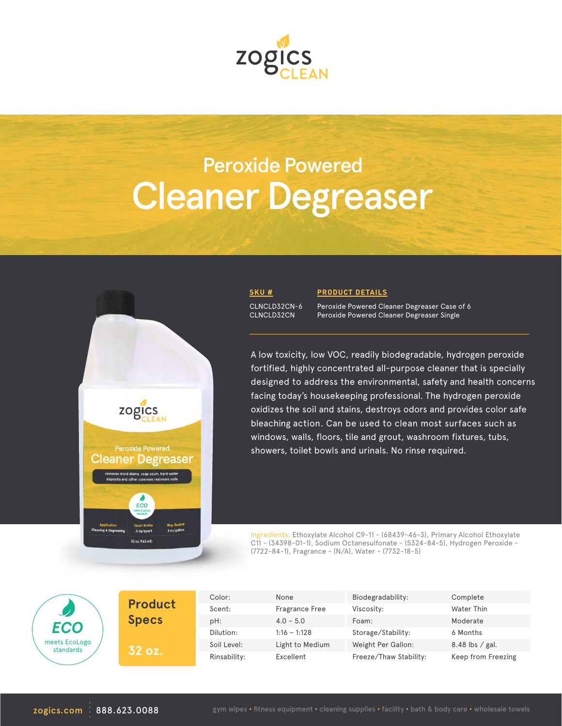

# Cleaner Degreaser Peroxide Powered



#### **SKU #**

CLNCLD32CN-6 CLNCLD32CN

#### **PRODUCT DETAILS**

Peroxide Powered Cleaner Degreaser Case of 6 Peroxide Powered Cleaner Degreaser Single

A low toxicity, low VOC, readily biodegradable, hydrogen peroxide fortified, highly concentrated all-purpose cleaner that is specially designed to address the environmental, safety and health concerns facing today's housekeeping professional. The hydrogen peroxide oxidizes the soil and stains, destroys odors and provides color safe bleaching action. Can be used to clean most surfaces such as windows, walls, floors, tile and grout, washroom fixtures, tubs, showers, toilet bowls and urinals. No rinse required.

Ingredients: Ethoxylate Alcohol C9-11 - (68439-46-3), Primary Alcohol Ethoxylate C11 - (34398-01-1), Sodium Octanesulfonate - (5324-84-5), Hydrogen Peroxide - (7722-84-1), Fragrance - (N/A), Water - (7732-18-5)

| ECO                        |  |
|----------------------------|--|
| meets EcoLogo<br>standards |  |

**Product Specs 32 oz.**

| Color:       | None                  | Biodegradability:      | Complete           |
|--------------|-----------------------|------------------------|--------------------|
| Scent:       | <b>Fragrance Free</b> | Viscosity:             | Water Thin         |
| pH:          | $4.0 - 5.0$           | Foam:                  | Moderate           |
| Dilution:    | $1:16 - 1:128$        | Storage/Stability:     | 6 Months           |
| Soil Level:  | Light to Medium       | Weight Per Gallon:     | $8.48$ lbs / gal.  |
| Rinsability: | Excellent             | Freeze/Thaw Stability: | Keep from Freezing |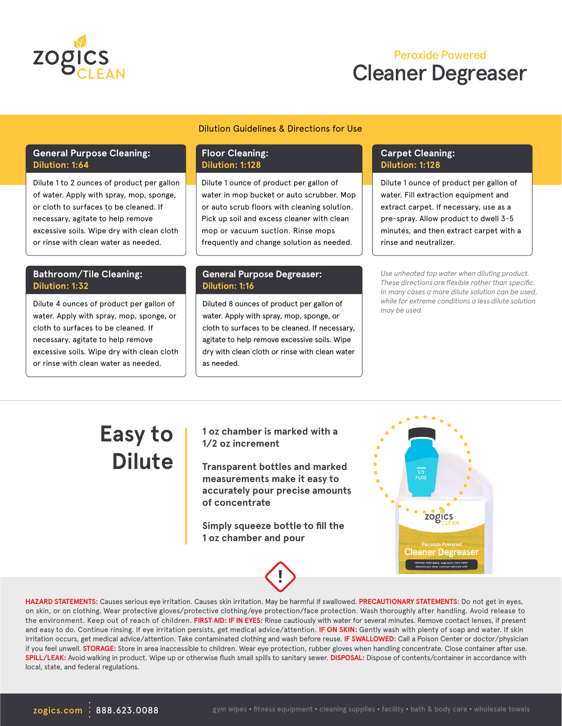

### Cleaner Degreaser Peroxide Powered

#### Dilution Guidelines & Directions for Use

#### **General Purpose Cleaning: Dilution: 1:64**

Dilute 1 to 2 ounces of product per gallon of water. Apply with spray, mop, sponge, or cloth to surfaces to be cleaned. If necessary, agitate to help remove excessive soils. Wipe dry with clean cloth or rinse with clean water as needed.

#### **Bathroom/Tile Cleaning: Dilution: 1:32**

Dilute 4 ounces of product per gallon of water. Apply with spray, mop, sponge, or cloth to surfaces to be cleaned. If necessary, agitate to help remove excessive soils. Wipe dry with clean cloth or rinse with clean water as needed.

#### **Floor Cleaning: Dilution: 1:128**

Dilute 1 ounce of product per gallon of water in mop bucket or auto scrubber. Mop or auto scrub floors with cleaning solution. Pick up soil and excess cleaner with clean mop or vacuum suction. Rinse mops frequently and change solution as needed.

#### **General Purpose Degreaser: Dilution: 1:16**

Diluted 8 ounces of product per gallon of water. Apply with spray, mop, sponge, or cloth to surfaces to be cleaned. If necessary, agitate to help remove excessive soils. Wipe dry with clean cloth or rinse with clean water as needed.

#### **Carpet Cleaning: Dilution: 1:128**

Dilute 1 ounce of product per gallon of water. Fill extraction equipment and extract carpet. If necessary, use as a pre-spray. Allow product to dwell 3-5 minutes, and then extract carpet with a rinse and neutralizer.

*Use unheated tap water when diluting product. These directions are flexible rather than specific. In many cases a more dilute solution can be used, while for extreme conditions a less dilute solution may be used.*

## **Easy to Dilute**

**1 oz chamber is marked with a 1/2 oz increment**

**Transparent bottles and marked measurements make it easy to accurately pour precise amounts of concentrate**

**Simply squeeze bottle to fill the 1 oz chamber and pour**



**HAZARD STATEMENTS:** Causes serious eye irritation. Causes skin irritation. May be harmful if swallowed. **PRECAUTIONARY STATEMENTS:** Do not get in eyes, on skin, or on clothing. Wear protective gloves/protective clothing/eye protection/face protection. Wash thoroughly after handling. Avoid release to the environment. Keep out of reach of children. **FIRST AID: IF IN EYES:** Rinse cautiously with water for several minutes. Remove contact lenses, if present and easy to do. Continue rinsing. If eye irritation persists, get medical advice/attention. **IF ON SKIN:** Gently wash with plenty of soap and water. If skin irritation occurs, get medical advice/attention. Take contaminated clothing and wash before reuse. **IF SWALLOWED:** Call a Poison Center or doctor/physician if you feel unwell. **STORAGE:** Store in area inaccessible to children. Wear eye protection, rubber gloves when handling concentrate. Close container after use. **SPILL/LEAK:** Avoid walking in product. Wipe up or otherwise flush small spills to sanitary sewer. **DISPOSAL:** Dispose of contents/container in accordance with local, state, and federal regulations.

**!**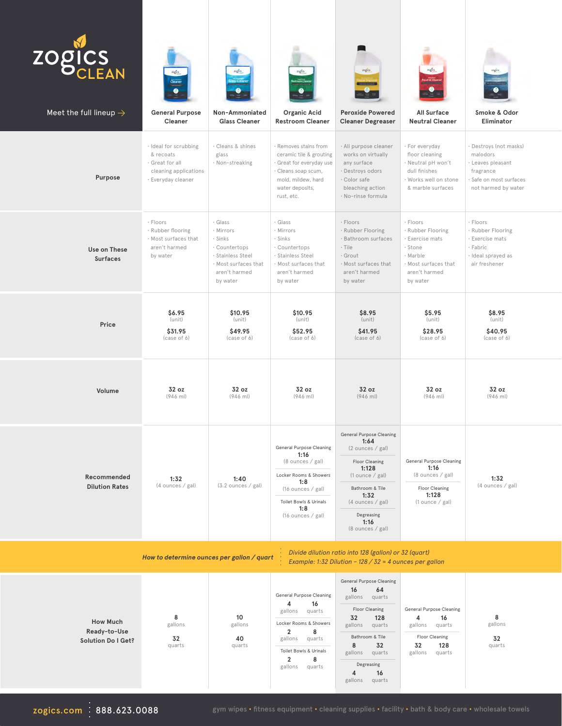| <b>ZOGICS</b><br>Meet the full lineup $\rightarrow$                                                                                                            | rogics.<br>Cleaner<br><b>General Purpose</b><br>Cleaner                                              | togics<br>Non-Ammoniated<br><b>Glass Cleaner</b>                                                                           | rogies<br><b>Organic Acid</b><br><b>Restroom Cleaner</b>                                                                                                                                                    | zogics<br><b>Peroxide Powered</b><br><b>Cleaner Degreaser</b>                                                                                                                                                      | <b>All Surface</b><br><b>Neutral Cleaner</b>                                                                                 | rogics<br>Smoke & Odor<br>Eliminator                                                                               |  |  |  |
|----------------------------------------------------------------------------------------------------------------------------------------------------------------|------------------------------------------------------------------------------------------------------|----------------------------------------------------------------------------------------------------------------------------|-------------------------------------------------------------------------------------------------------------------------------------------------------------------------------------------------------------|--------------------------------------------------------------------------------------------------------------------------------------------------------------------------------------------------------------------|------------------------------------------------------------------------------------------------------------------------------|--------------------------------------------------------------------------------------------------------------------|--|--|--|
| Purpose                                                                                                                                                        | · Ideal for scrubbing<br>& recoats<br>· Great for all<br>cleaning applications<br>· Everyday cleaner | · Cleans & shines<br>glass<br>· Non-streaking                                                                              | · Removes stains from<br>ceramic tile & grouting<br>· Great for everyday use<br>· Cleans soap scum,<br>mold, mildew, hard<br>water deposits,<br>rust, etc.                                                  | · All purpose cleaner<br>works on virtually<br>any surface<br>· Destroys odors<br>· Color safe<br>bleaching action<br>· No-rinse formula                                                                           | · For everyday<br>floor cleaning<br>· Neutral pH won't<br>dull finishes<br>· Works well on stone<br>& marble surfaces        | Destroys (not masks)<br>malodors<br>· Leaves pleasant<br>fragrance<br>Safe on most surfaces<br>not harmed by water |  |  |  |
| Use on These<br><b>Surfaces</b>                                                                                                                                | · Floors<br>· Rubber flooring<br>· Most surfaces that<br>aren't harmed<br>by water                   | · Glass<br>· Mirrors<br>· Sinks<br>· Countertops<br>· Stainless Steel<br>· Most surfaces that<br>aren't harmed<br>by water | · Glass<br>· Mirrors<br>· Sinks<br>· Countertops<br>· Stainless Steel<br>· Most surfaces that<br>aren't harmed<br>by water                                                                                  | · Floors<br>· Rubber Flooring<br>· Bathroom surfaces<br>$\cdot$ Tile<br>· Grout<br>· Most surfaces that<br>aren't harmed<br>by water                                                                               | · Floors<br>· Rubber Flooring<br>· Exercise mats<br>· Stone<br>· Marble<br>· Most surfaces that<br>aren't harmed<br>by water | · Floors<br>· Rubber Flooring<br>Exercise mats<br>· Fabric<br>· Ideal sprayed as<br>air freshener                  |  |  |  |
| Price                                                                                                                                                          | \$6.95<br>(unit)<br>\$31.95<br>(case of 6)                                                           | \$10.95<br>(unit)<br>\$49.95<br>(case of 6)                                                                                | \$10.95<br>(unit)<br>\$52.95<br>(case of 6)                                                                                                                                                                 | \$8.95<br>(unit)<br>\$41.95<br>(case of 6)                                                                                                                                                                         | \$5.95<br>(unit)<br>\$28.95<br>(case of 6)                                                                                   | \$8.95<br>(unit)<br>\$40.95<br>(case of 6)                                                                         |  |  |  |
| Volume                                                                                                                                                         | 32 oz<br>$(946$ ml)                                                                                  | 32 oz<br>$(946$ ml)                                                                                                        | 32 oz<br>$(946$ ml)                                                                                                                                                                                         | 32 oz<br>$(946$ ml)                                                                                                                                                                                                | 32 oz<br>$(946$ ml)                                                                                                          | 32 oz<br>$(946$ ml)                                                                                                |  |  |  |
| Recommended<br><b>Dilution Rates</b>                                                                                                                           | 1:32<br>(4 ounces / gal)                                                                             | 1:40<br>(3.2 ounces / gal)                                                                                                 | <b>General Purpose Cleaning</b><br>1:16<br>(8 ounces / gal)<br>Locker Rooms & Showers<br>1:8<br>(16 ounces / gal)<br>Toilet Bowls & Urinals<br>1:8<br>(16 ounces / gal)                                     | <b>General Purpose Cleaning</b><br>1:64<br>(2 ounces / gal)<br>Floor Cleaning<br>1:128<br>$(1$ ounce / gal)<br>Bathroom & Tile<br>1:32<br>(4 ounces / gal)<br>Degreasing<br>1:16<br>(8 ounces / gal)               | <b>General Purpose Cleaning</b><br>1:16<br>(8 ounces / gal)<br>Floor Cleaning<br>1:128<br>$(1$ ounce / gal)                  | 1:32<br>(4 ounces / gal)                                                                                           |  |  |  |
| Divide dilution ratio into 128 (gallon) or 32 (quart)<br>How to determine ounces per gallon / quart<br>Example: 1:32 Dilution - 128 / 32 = 4 ounces per gallon |                                                                                                      |                                                                                                                            |                                                                                                                                                                                                             |                                                                                                                                                                                                                    |                                                                                                                              |                                                                                                                    |  |  |  |
| <b>How Much</b><br>Ready-to-Use<br><b>Solution Do I Get?</b>                                                                                                   | 8<br>gallons<br>32<br>quarts                                                                         | 10<br>gallons<br>40<br>quarts                                                                                              | <b>General Purpose Cleaning</b><br>4<br>16<br>quarts<br>gallons<br>Locker Rooms & Showers<br>$\overline{2}$<br>8<br>gallons<br>quarts<br>Toilet Bowls & Urinals<br>$\overline{2}$<br>8<br>gallons<br>quarts | <b>General Purpose Cleaning</b><br>16<br>64<br>gallons<br>quarts<br>Floor Cleaning<br>32<br>128<br>gallons<br>quarts<br>Bathroom & Tile<br>8<br>32<br>gallons quarts<br>Degreasing<br>4<br>16<br>gallons<br>quarts | <b>General Purpose Cleaning</b><br>4<br>16<br>gallons<br>quarts<br>Floor Cleaning<br>32<br>128<br>gallons<br>quarts          | 8<br>gallons<br>32<br>quarts                                                                                       |  |  |  |